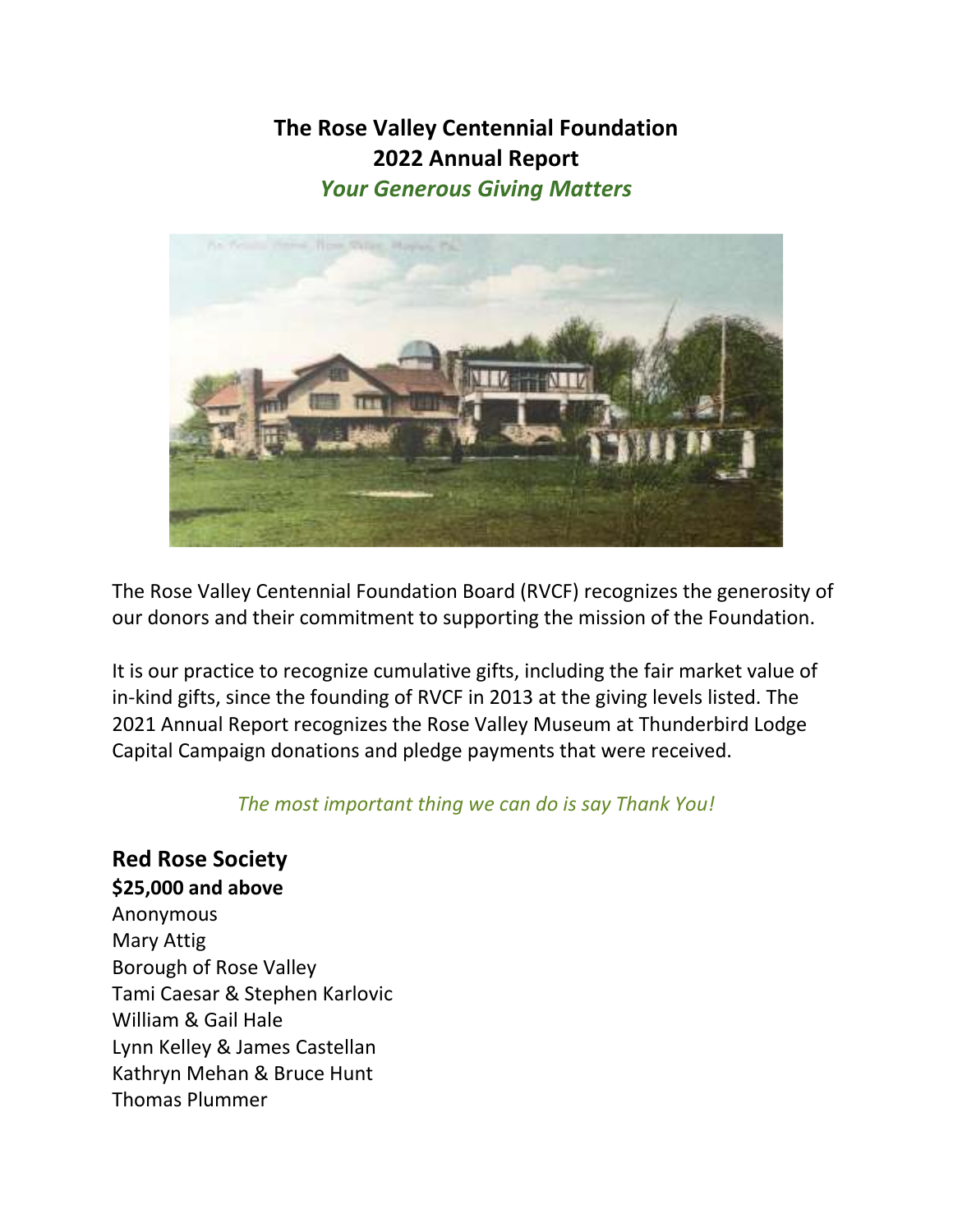## **The Rose Valley Centennial Foundation 2022 Annual Report**  *Your Generous Giving Matters*



The Rose Valley Centennial Foundation Board (RVCF) recognizes the generosity of our donors and their commitment to supporting the mission of the Foundation.

It is our practice to recognize cumulative gifts, including the fair market value of in-kind gifts, since the founding of RVCF in 2013 at the giving levels listed. The 2021 Annual Report recognizes the Rose Valley Museum at Thunderbird Lodge Capital Campaign donations and pledge payments that were received.

### *The most important thing we can do is say Thank You!*

**Red Rose Society \$25,000 and above**  Anonymous Mary Attig Borough of Rose Valley Tami Caesar & Stephen Karlovic William & Gail Hale Lynn Kelley & James Castellan Kathryn Mehan & Bruce Hunt Thomas Plummer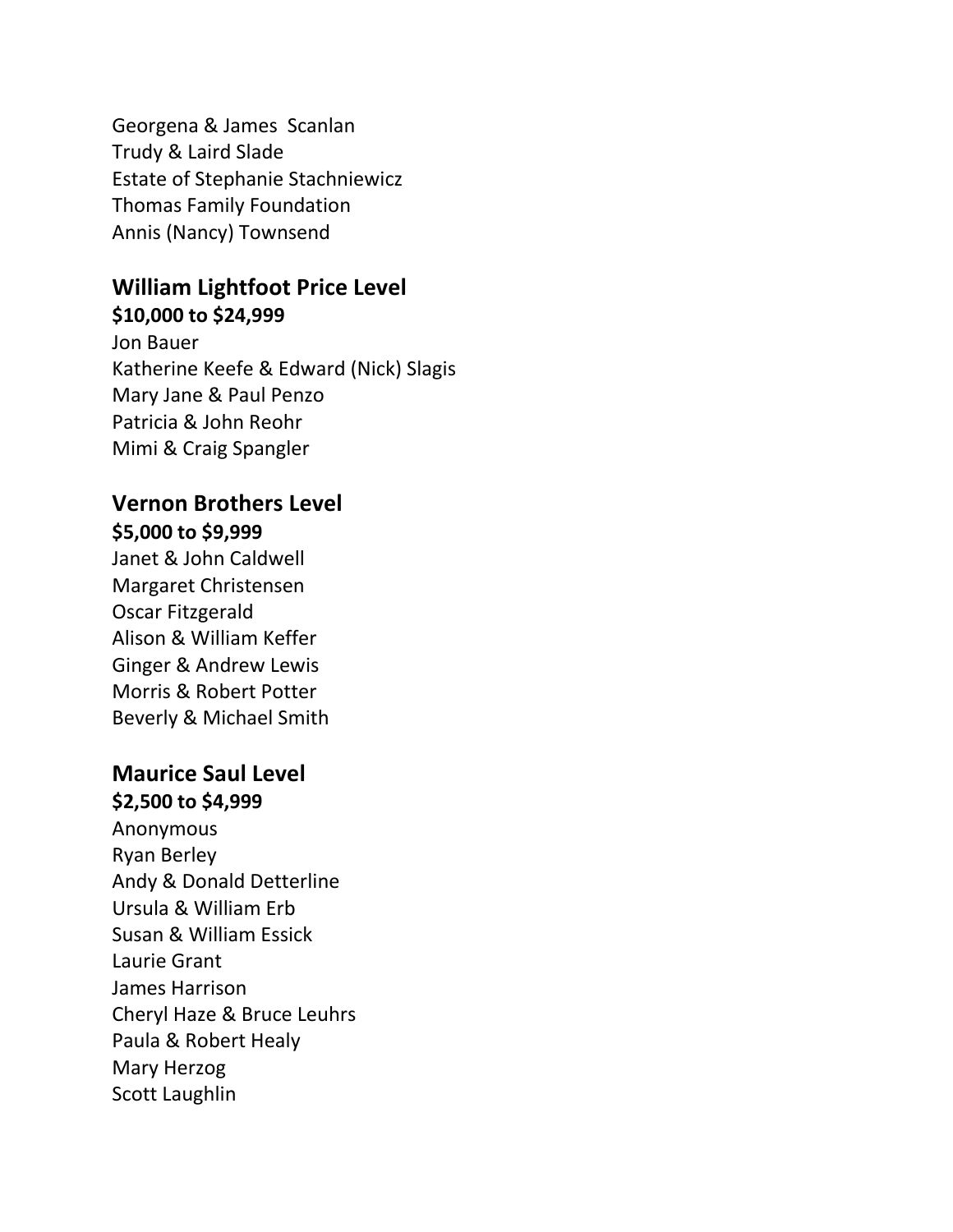Georgena & James Scanlan Trudy & Laird Slade Estate of Stephanie Stachniewicz Thomas Family Foundation Annis (Nancy) Townsend

## **William Lightfoot Price Level \$10,000 to \$24,999**

Jon Bauer Katherine Keefe & Edward (Nick) Slagis Mary Jane & Paul Penzo Patricia & John Reohr Mimi & Craig Spangler

## **Vernon Brothers Level**

**\$5,000 to \$9,999**  Janet & John Caldwell Margaret Christensen Oscar Fitzgerald Alison & William Keffer Ginger & Andrew Lewis Morris & Robert Potter Beverly & Michael Smith

# **Maurice Saul Level \$2,500 to \$4,999**  Anonymous Ryan Berley Andy & Donald Detterline Ursula & William Erb Susan & William Essick Laurie Grant James Harrison Cheryl Haze & Bruce Leuhrs Paula & Robert Healy Mary Herzog Scott Laughlin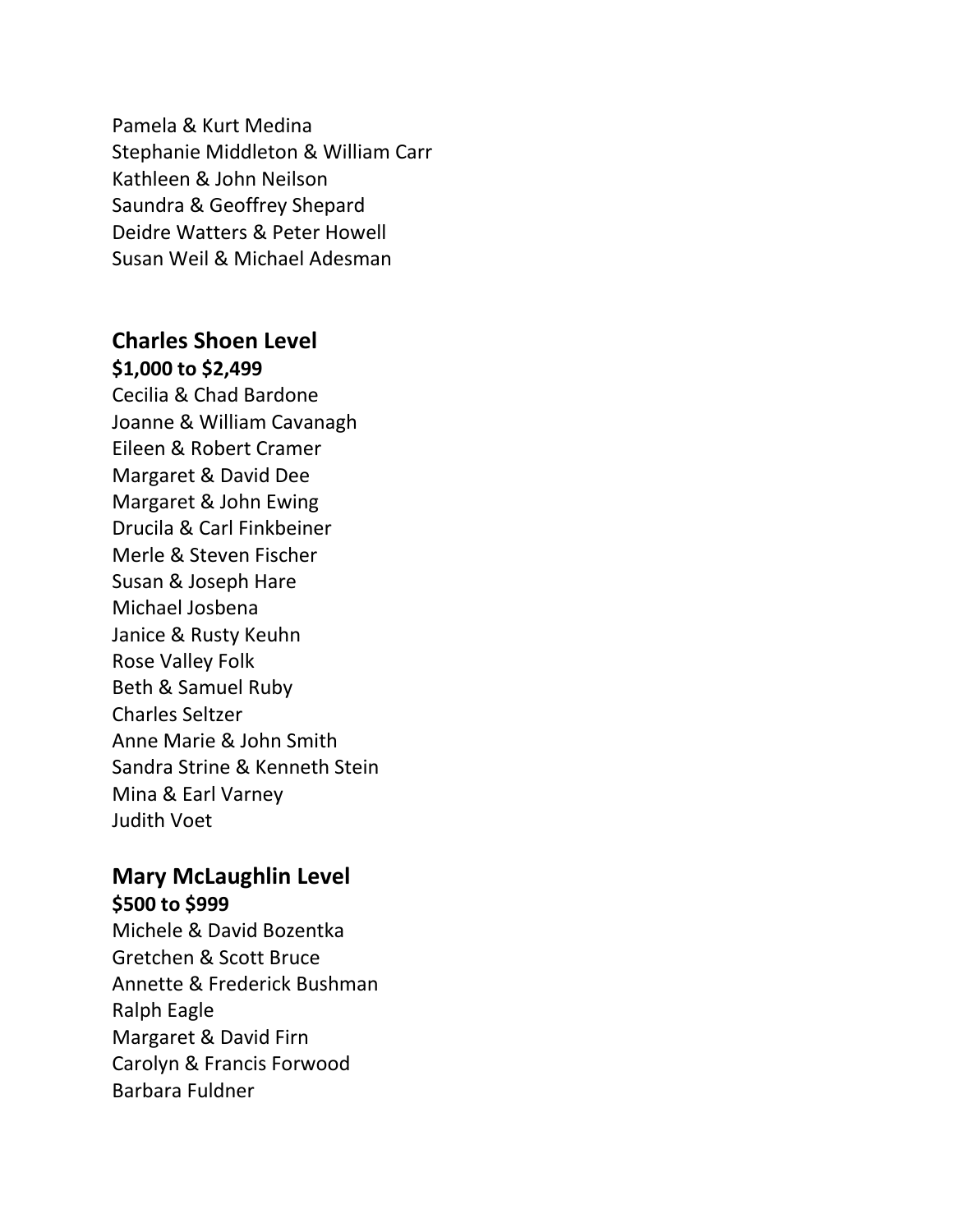Pamela & Kurt Medina Stephanie Middleton & William Carr Kathleen & John Neilson Saundra & Geoffrey Shepard Deidre Watters & Peter Howell Susan Weil & Michael Adesman

### **Charles Shoen Level \$1,000 to \$2,499**

Cecilia & Chad Bardone Joanne & William Cavanagh Eileen & Robert Cramer Margaret & David Dee Margaret & John Ewing Drucila & Carl Finkbeiner Merle & Steven Fischer Susan & Joseph Hare Michael Josbena Janice & Rusty Keuhn Rose Valley Folk Beth & Samuel Ruby Charles Seltzer Anne Marie & John Smith Sandra Strine & Kenneth Stein Mina & Earl Varney Judith Voet

#### **Mary McLaughlin Level \$500 to \$999**

Michele & David Bozentka Gretchen & Scott Bruce Annette & Frederick Bushman Ralph Eagle Margaret & David Firn Carolyn & Francis Forwood Barbara Fuldner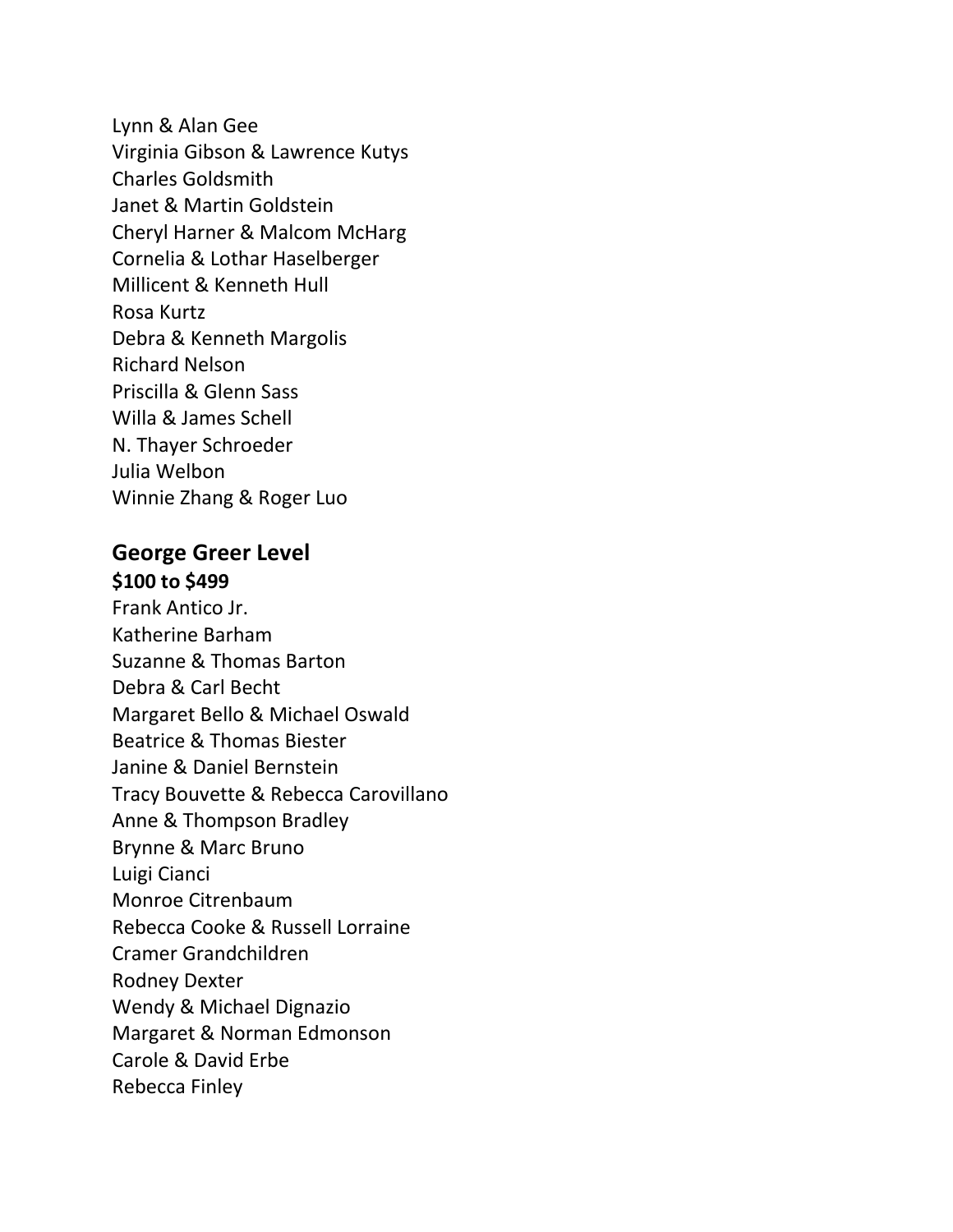Lynn & Alan Gee Virginia Gibson & Lawrence Kutys Charles Goldsmith Janet & Martin Goldstein Cheryl Harner & Malcom McHarg Cornelia & Lothar Haselberger Millicent & Kenneth Hull Rosa Kurtz Debra & Kenneth Margolis Richard Nelson Priscilla & Glenn Sass Willa & James Schell N. Thayer Schroeder Julia Welbon Winnie Zhang & Roger Luo

### **George Greer Level \$100 to \$499**

Frank Antico Jr. Katherine Barham Suzanne & Thomas Barton Debra & Carl Becht Margaret Bello & Michael Oswald Beatrice & Thomas Biester Janine & Daniel Bernstein Tracy Bouvette & Rebecca Carovillano Anne & Thompson Bradley Brynne & Marc Bruno Luigi Cianci Monroe Citrenbaum Rebecca Cooke & Russell Lorraine Cramer Grandchildren Rodney Dexter Wendy & Michael Dignazio Margaret & Norman Edmonson Carole & David Erbe Rebecca Finley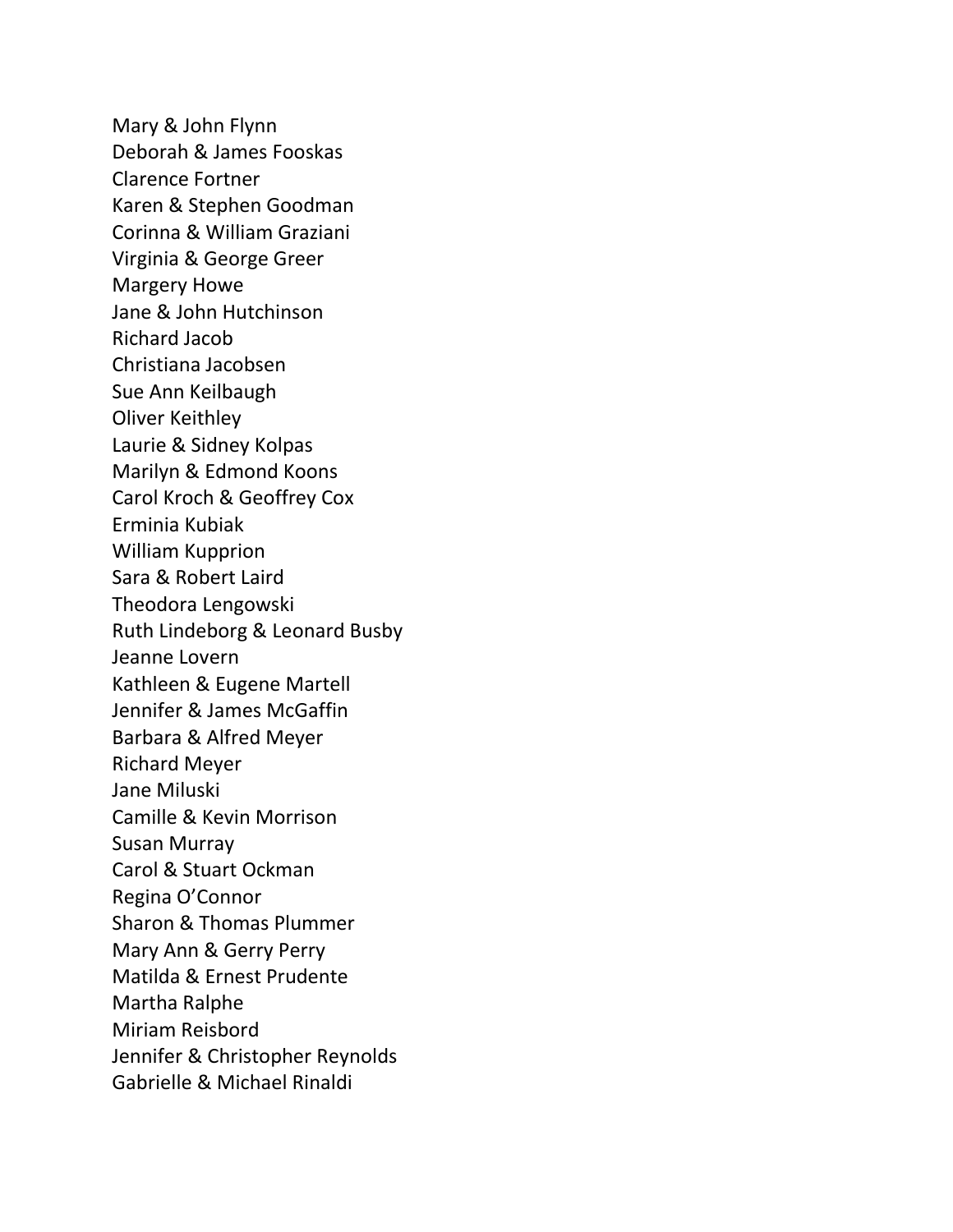Mary & John Flynn Deborah & James Fooskas Clarence Fortner Karen & Stephen Goodman Corinna & William Graziani Virginia & George Greer Margery Howe Jane & John Hutchinson Richard Jacob Christiana Jacobsen Sue Ann Keilbaugh Oliver Keithley Laurie & Sidney Kolpas Marilyn & Edmond Koons Carol Kroch & Geoffrey Cox Erminia Kubiak William Kupprion Sara & Robert Laird Theodora Lengowski Ruth Lindeborg & Leonard Busby Jeanne Lovern Kathleen & Eugene Martell Jennifer & James McGaffin Barbara & Alfred Meyer Richard Meyer Jane Miluski Camille & Kevin Morrison Susan Murray Carol & Stuart Ockman Regina O'Connor Sharon & Thomas Plummer Mary Ann & Gerry Perry Matilda & Ernest Prudente Martha Ralphe Miriam Reisbord Jennifer & Christopher Reynolds Gabrielle & Michael Rinaldi